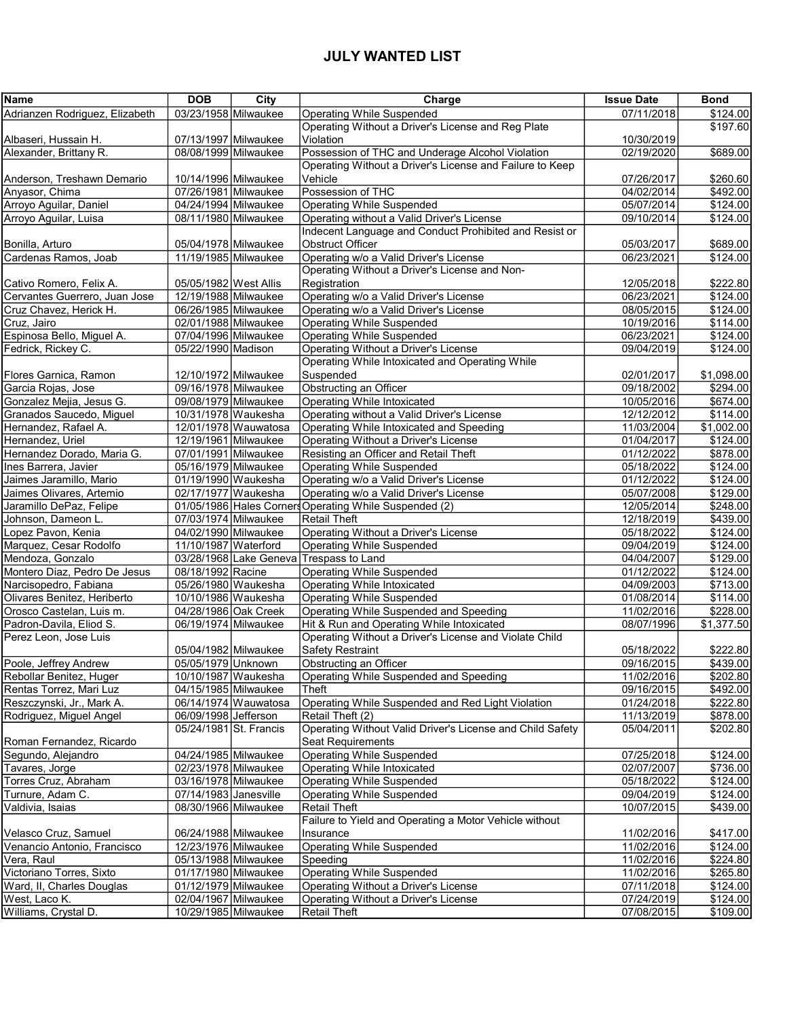## JULY WANTED LIST

| <b>Name</b>                                           | <b>DOB</b>                                   | City                 | Charge                                                                                               | <b>Issue Date</b>        | <b>Bond</b>          |
|-------------------------------------------------------|----------------------------------------------|----------------------|------------------------------------------------------------------------------------------------------|--------------------------|----------------------|
| Adrianzen Rodriguez, Elizabeth                        | 03/23/1958 Milwaukee                         |                      | <b>Operating While Suspended</b>                                                                     | 07/11/2018               | \$124.00             |
|                                                       |                                              |                      | Operating Without a Driver's License and Reg Plate                                                   |                          | \$197.60             |
| Albaseri, Hussain H.                                  | 07/13/1997 Milwaukee                         |                      | Violation                                                                                            | 10/30/2019               |                      |
| Alexander, Brittany R.                                | 08/08/1999 Milwaukee                         |                      | Possession of THC and Underage Alcohol Violation                                                     | 02/19/2020               | \$689.00             |
|                                                       |                                              |                      | Operating Without a Driver's License and Failure to Keep                                             |                          |                      |
| Anderson, Treshawn Demario                            | 10/14/1996 Milwaukee                         |                      | Vehicle                                                                                              | 07/26/2017               | \$260.60             |
| Anyasor, Chima                                        | 07/26/1981 Milwaukee                         |                      | Possession of THC                                                                                    | 04/02/2014               | \$492.00             |
| Arroyo Aguilar, Daniel                                | 04/24/1994 Milwaukee                         |                      | <b>Operating While Suspended</b>                                                                     | 05/07/2014               | \$124.00             |
| Arroyo Aguilar, Luisa                                 | 08/11/1980 Milwaukee                         |                      | Operating without a Valid Driver's License<br>Indecent Language and Conduct Prohibited and Resist or | 09/10/2014               | \$124.00             |
| Bonilla, Arturo                                       | 05/04/1978 Milwaukee                         |                      | <b>Obstruct Officer</b>                                                                              | 05/03/2017               | \$689.00             |
| Cardenas Ramos, Joab                                  | 11/19/1985 Milwaukee                         |                      | Operating w/o a Valid Driver's License                                                               | 06/23/2021               | \$124.00             |
|                                                       |                                              |                      | Operating Without a Driver's License and Non-                                                        |                          |                      |
| Cativo Romero, Felix A.                               | 05/05/1982   West Allis                      |                      | Registration                                                                                         | 12/05/2018               | \$222.80             |
| Cervantes Guerrero, Juan Jose                         | 12/19/1988 Milwaukee                         |                      | Operating w/o a Valid Driver's License                                                               | 06/23/2021               | \$124.00             |
| Cruz Chavez, Herick H.                                | 06/26/1985 Milwaukee                         |                      | Operating w/o a Valid Driver's License                                                               | 08/05/2015               | \$124.00             |
| Cruz, Jairo                                           | 02/01/1988 Milwaukee                         |                      | <b>Operating While Suspended</b>                                                                     | 10/19/2016               | \$114.00             |
| Espinosa Bello, Miguel A.                             | 07/04/1996 Milwaukee                         |                      | <b>Operating While Suspended</b>                                                                     | 06/23/2021               | \$124.00             |
| Fedrick, Rickey C.                                    | 05/22/1990 Madison                           |                      | Operating Without a Driver's License                                                                 | 09/04/2019               | \$124.00             |
|                                                       |                                              |                      | Operating While Intoxicated and Operating While                                                      |                          |                      |
| Flores Garnica, Ramon                                 | 12/10/1972 Milwaukee                         |                      | Suspended                                                                                            | 02/01/2017               | \$1,098.00           |
| Garcia Rojas, Jose                                    | 09/16/1978 Milwaukee                         |                      | Obstructing an Officer                                                                               | 09/18/2002               | \$294.00             |
| Gonzalez Mejia, Jesus G.                              | 09/08/1979 Milwaukee                         |                      | Operating While Intoxicated                                                                          | 10/05/2016               | \$674.00             |
| Granados Saucedo, Miquel                              | 10/31/1978 Waukesha                          |                      | Operating without a Valid Driver's License                                                           | 12/12/2012               | \$114.00             |
| Hernandez, Rafael A.                                  |                                              | 12/01/1978 Wauwatosa | Operating While Intoxicated and Speeding                                                             | 11/03/2004               | \$1,002.00           |
| Hernandez, Uriel                                      | 12/19/1961 Milwaukee                         |                      | Operating Without a Driver's License                                                                 | 01/04/2017               | \$124.00             |
| Hernandez Dorado, Maria G.                            | 07/01/1991 Milwaukee                         |                      | Resisting an Officer and Retail Theft                                                                | 01/12/2022               | \$878.00             |
| Ines Barrera, Javier                                  | 05/16/1979 Milwaukee                         |                      | <b>Operating While Suspended</b>                                                                     | 05/18/2022               | \$124.00             |
| Jaimes Jaramillo, Mario                               | 01/19/1990 Waukesha                          |                      | Operating w/o a Valid Driver's License                                                               | 01/12/2022               | \$124.00             |
| Jaimes Olivares, Artemio                              | 02/17/1977 Waukesha                          |                      | Operating w/o a Valid Driver's License                                                               | 05/07/2008               | \$129.00             |
| Jaramillo DePaz, Felipe                               |                                              |                      | 01/05/1986 Hales Corners Operating While Suspended (2)                                               | 12/05/2014               | \$248.00             |
| Johnson, Dameon L.                                    | 07/03/1974 Milwaukee                         |                      | <b>Retail Theft</b>                                                                                  | 12/18/2019               | \$439.00             |
| Lopez Pavon, Kenia                                    | 04/02/1990 Milwaukee                         |                      | Operating Without a Driver's License                                                                 | 05/18/2022               | \$124.00             |
| Marquez, Cesar Rodolfo                                | 11/10/1987 Waterford                         |                      | <b>Operating While Suspended</b>                                                                     | 09/04/2019               | \$124.00             |
| Mendoza, Gonzalo                                      |                                              |                      | 03/28/1968 Lake Geneva Trespass to Land                                                              | 04/04/2007               | \$129.00             |
| Montero Diaz, Pedro De Jesus<br>Narcisopedro, Fabiana | 08/18/1992 Racine<br>05/26/1980 Waukesha     |                      | <b>Operating While Suspended</b><br>Operating While Intoxicated                                      | 01/12/2022<br>04/09/2003 | \$124.00<br>\$713.00 |
| Olivares Benitez, Heriberto                           | 10/10/1986 Waukesha                          |                      | <b>Operating While Suspended</b>                                                                     | 01/08/2014               | \$114.00             |
| Orosco Castelan, Luis m.                              | 04/28/1986 Oak Creek                         |                      | <b>Operating While Suspended and Speeding</b>                                                        | 11/02/2016               | \$228.00             |
| Padron-Davila, Eliod S.                               | 06/19/1974 Milwaukee                         |                      | Hit & Run and Operating While Intoxicated                                                            | 08/07/1996               | \$1,377.50           |
| Perez Leon, Jose Luis                                 |                                              |                      | Operating Without a Driver's License and Violate Child                                               |                          |                      |
|                                                       | 05/04/1982 Milwaukee                         |                      | <b>Safety Restraint</b>                                                                              | 05/18/2022               | \$222.80             |
| Poole, Jeffrey Andrew                                 | 05/05/1979 Unknown                           |                      | Obstructing an Officer                                                                               | 09/16/2015               | \$439.00             |
| Rebollar Benitez, Huger                               | 10/10/1987 Waukesha                          |                      | Operating While Suspended and Speeding                                                               | 11/02/2016               | \$202.80             |
| Rentas Torrez, Mari Luz                               | 04/15/1985 Milwaukee                         |                      | Theft                                                                                                | 09/16/2015               | \$492.00             |
| Reszczynski, Jr., Mark A.                             |                                              | 06/14/1974 Wauwatosa | Operating While Suspended and Red Light Violation                                                    | 01/24/2018               | \$222.80             |
| Rodriguez, Miguel Angel                               | 06/09/1998 Jefferson                         |                      | Retail Theft (2)                                                                                     | 11/13/2019               | \$878.00             |
|                                                       | 05/24/1981 St. Francis                       |                      | Operating Without Valid Driver's License and Child Safety                                            | 05/04/2011               | \$202.80             |
| Roman Fernandez, Ricardo                              |                                              |                      | Seat Requirements                                                                                    |                          |                      |
| Segundo, Alejandro                                    | 04/24/1985 Milwaukee                         |                      | <b>Operating While Suspended</b>                                                                     | 07/25/2018               | \$124.00             |
| Tavares, Jorge                                        | 02/23/1978 Milwaukee                         |                      | Operating While Intoxicated                                                                          | 02/07/2007               | \$736.00             |
| Torres Cruz, Abraham                                  | 03/16/1978 Milwaukee                         |                      | <b>Operating While Suspended</b>                                                                     | 05/18/2022               | \$124.00             |
| Turnure, Adam C.                                      | 07/14/1983 Janesville                        |                      | <b>Operating While Suspended</b>                                                                     | 09/04/2019               | \$124.00             |
| Valdivia, Isaias                                      | 08/30/1966 Milwaukee                         |                      | <b>Retail Theft</b>                                                                                  | 10/07/2015               | \$439.00             |
|                                                       |                                              |                      | Failure to Yield and Operating a Motor Vehicle without                                               |                          |                      |
| Velasco Cruz, Samuel<br>Venancio Antonio, Francisco   | 06/24/1988 Milwaukee<br>12/23/1976 Milwaukee |                      | Insurance<br><b>Operating While Suspended</b>                                                        | 11/02/2016<br>11/02/2016 | \$417.00<br>\$124.00 |
| Vera, Raul                                            | 05/13/1988 Milwaukee                         |                      | Speeding                                                                                             | 11/02/2016               | \$224.80             |
| Victoriano Torres, Sixto                              | 01/17/1980 Milwaukee                         |                      | <b>Operating While Suspended</b>                                                                     | 11/02/2016               | \$265.80             |
| Ward, II, Charles Douglas                             | 01/12/1979 Milwaukee                         |                      | Operating Without a Driver's License                                                                 | 07/11/2018               | \$124.00             |
| West, Laco K.                                         | 02/04/1967 Milwaukee                         |                      | Operating Without a Driver's License                                                                 | 07/24/2019               | \$124.00             |
| Williams, Crystal D.                                  | 10/29/1985 Milwaukee                         |                      | <b>Retail Theft</b>                                                                                  | 07/08/2015               | \$109.00             |
|                                                       |                                              |                      |                                                                                                      |                          |                      |